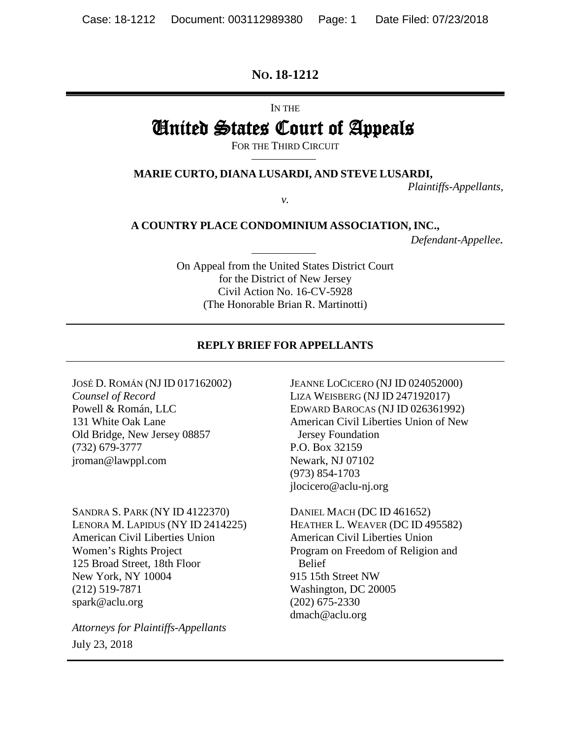#### **NO. 18-1212**

IN THE

# United States Court of Appeals

FOR THE THIRD CIRCUIT

**MARIE CURTO, DIANA LUSARDI, AND STEVE LUSARDI,**

*v.*

*Plaintiffs-Appellants,* 

**A COUNTRY PLACE CONDOMINIUM ASSOCIATION, INC.,**

*Defendant-Appellee.* 

On Appeal from the United States District Court for the District of New Jersey Civil Action No. 16-CV-5928 (The Honorable Brian R. Martinotti)

#### **REPLY BRIEF FOR APPELLANTS**

JOSÉ D. ROMÁN (NJ ID 017162002) *Counsel of Record* Powell & Román, LLC 131 White Oak Lane Old Bridge, New Jersey 08857 (732) 679-3777 jroman@lawppl.com

SANDRA S. PARK (NY ID 4122370) LENORA M. LAPIDUS (NY ID 2414225) American Civil Liberties Union Women's Rights Project 125 Broad Street, 18th Floor New York, NY 10004 (212) 519-7871 spark@aclu.org

*Attorneys for Plaintiffs-Appellants* July 23, 2018

JEANNE LOCICERO (NJ ID 024052000) LIZA WEISBERG (NJ ID 247192017) EDWARD BAROCAS (NJ ID 026361992) American Civil Liberties Union of New Jersey Foundation P.O. Box 32159 Newark, NJ 07102 (973) 854-1703 jlocicero@aclu-nj.org

DANIEL MACH (DC ID 461652) HEATHER L. WEAVER (DC ID 495582) American Civil Liberties Union Program on Freedom of Religion and Belief 915 15th Street NW Washington, DC 20005 (202) 675-2330 dmach@aclu.org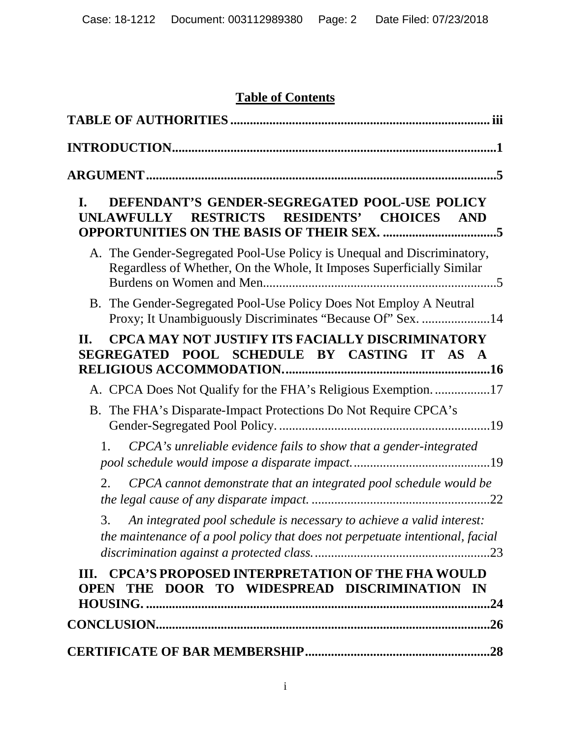# **Table of Contents**

| 5                                                                                                                                                                                                            |
|--------------------------------------------------------------------------------------------------------------------------------------------------------------------------------------------------------------|
| DEFENDANT'S GENDER-SEGREGATED POOL-USE POLICY<br>I.<br>RESTRICTS RESIDENTS' CHOICES<br>UNLAWFULLY<br><b>AND</b><br><b>OPPORTUNITIES ON THE BASIS OF THEIR SEX. 5</b>                                         |
| A. The Gender-Segregated Pool-Use Policy is Unequal and Discriminatory,<br>Regardless of Whether, On the Whole, It Imposes Superficially Similar                                                             |
| B. The Gender-Segregated Pool-Use Policy Does Not Employ A Neutral<br>Proxy; It Unambiguously Discriminates "Because Of" Sex. 14                                                                             |
| <b>CPCA MAY NOT JUSTIFY ITS FACIALLY DISCRIMINATORY</b><br>П.<br>SEGREGATED POOL SCHEDULE BY CASTING IT AS A                                                                                                 |
| A. CPCA Does Not Qualify for the FHA's Religious Exemption. 17<br>B. The FHA's Disparate-Impact Protections Do Not Require CPCA's<br>CPCA's unreliable evidence fails to show that a gender-integrated<br>1. |
| CPCA cannot demonstrate that an integrated pool schedule would be<br>2.                                                                                                                                      |
| 3.<br>An integrated pool schedule is necessary to achieve a valid interest:<br>the maintenance of a pool policy that does not perpetuate intentional, facial                                                 |
| III. CPCA'S PROPOSED INTERPRETATION OF THE FHA WOULD<br>THE DOOR TO WIDESPREAD DISCRIMINATION IN<br><b>OPEN</b>                                                                                              |
|                                                                                                                                                                                                              |
|                                                                                                                                                                                                              |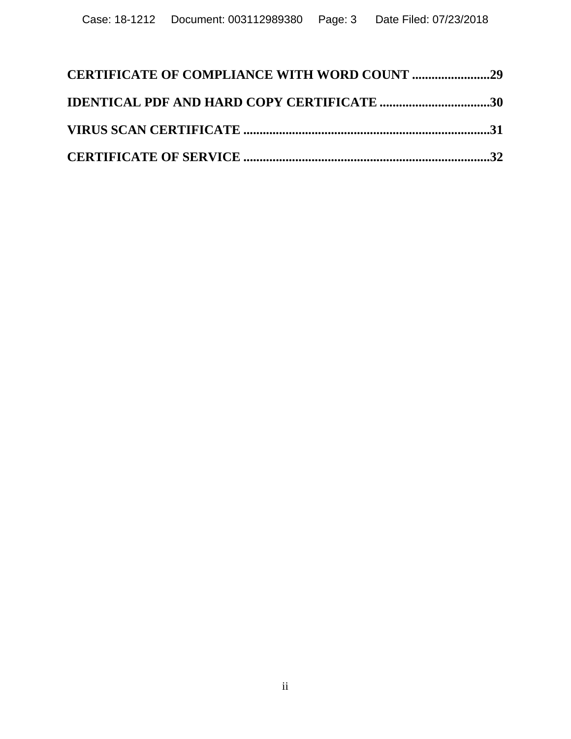| <b>CERTIFICATE OF COMPLIANCE WITH WORD COUNT 29</b> |  |
|-----------------------------------------------------|--|
| <b>IDENTICAL PDF AND HARD COPY CERTIFICATE 30</b>   |  |
|                                                     |  |
|                                                     |  |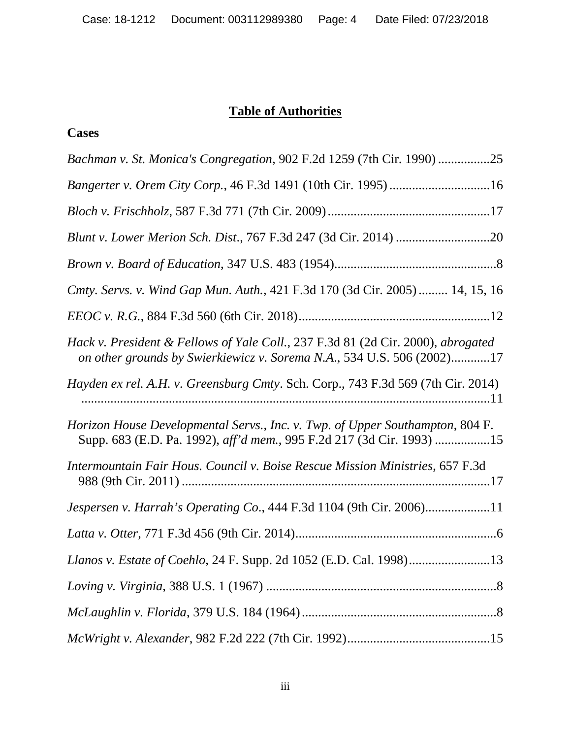### **Table of Authorities**

#### <span id="page-3-0"></span>**Cases**

| Bachman v. St. Monica's Congregation, 902 F.2d 1259 (7th Cir. 1990) 25                                                                                     |
|------------------------------------------------------------------------------------------------------------------------------------------------------------|
| Bangerter v. Orem City Corp., 46 F.3d 1491 (10th Cir. 1995)16                                                                                              |
|                                                                                                                                                            |
|                                                                                                                                                            |
|                                                                                                                                                            |
| Cmty. Servs. v. Wind Gap Mun. Auth., 421 F.3d 170 (3d Cir. 2005)  14, 15, 16                                                                               |
|                                                                                                                                                            |
| Hack v. President & Fellows of Yale Coll., 237 F.3d 81 (2d Cir. 2000), abrogated<br>on other grounds by Swierkiewicz v. Sorema N.A., 534 U.S. 506 (2002)17 |
| Hayden ex rel. A.H. v. Greensburg Cmty. Sch. Corp., 743 F.3d 569 (7th Cir. 2014)                                                                           |
| Horizon House Developmental Servs., Inc. v. Twp. of Upper Southampton, 804 F.<br>Supp. 683 (E.D. Pa. 1992), aff'd mem., 995 F.2d 217 (3d Cir. 1993) 15     |
| Intermountain Fair Hous. Council v. Boise Rescue Mission Ministries, 657 F.3d                                                                              |
| Jespersen v. Harrah's Operating Co., 444 F.3d 1104 (9th Cir. 2006)11                                                                                       |
|                                                                                                                                                            |
|                                                                                                                                                            |
|                                                                                                                                                            |
|                                                                                                                                                            |
|                                                                                                                                                            |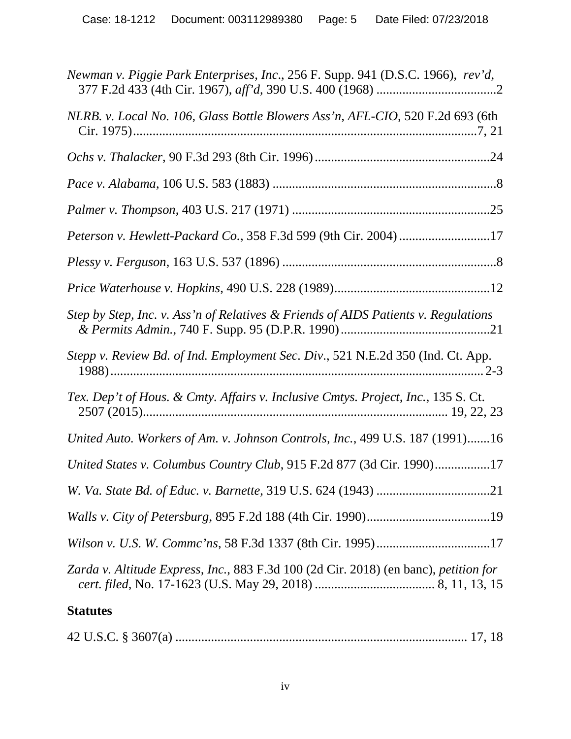| Newman v. Piggie Park Enterprises, Inc., 256 F. Supp. 941 (D.S.C. 1966), rev'd,      |
|--------------------------------------------------------------------------------------|
| NLRB. v. Local No. 106, Glass Bottle Blowers Ass'n, AFL-CIO, 520 F.2d 693 (6th       |
|                                                                                      |
|                                                                                      |
|                                                                                      |
| Peterson v. Hewlett-Packard Co., 358 F.3d 599 (9th Cir. 2004)17                      |
|                                                                                      |
|                                                                                      |
| Step by Step, Inc. v. Ass'n of Relatives & Friends of AIDS Patients v. Regulations   |
| Stepp v. Review Bd. of Ind. Employment Sec. Div., 521 N.E.2d 350 (Ind. Ct. App.      |
| Tex. Dep't of Hous. & Cmty. Affairs v. Inclusive Cmtys. Project, Inc., 135 S. Ct.    |
| United Auto. Workers of Am. v. Johnson Controls, Inc., 499 U.S. 187 (1991)16         |
| United States v. Columbus Country Club, 915 F.2d 877 (3d Cir. 1990)17                |
|                                                                                      |
|                                                                                      |
|                                                                                      |
| Zarda v. Altitude Express, Inc., 883 F.3d 100 (2d Cir. 2018) (en banc), petition for |
| <b>Statutes</b>                                                                      |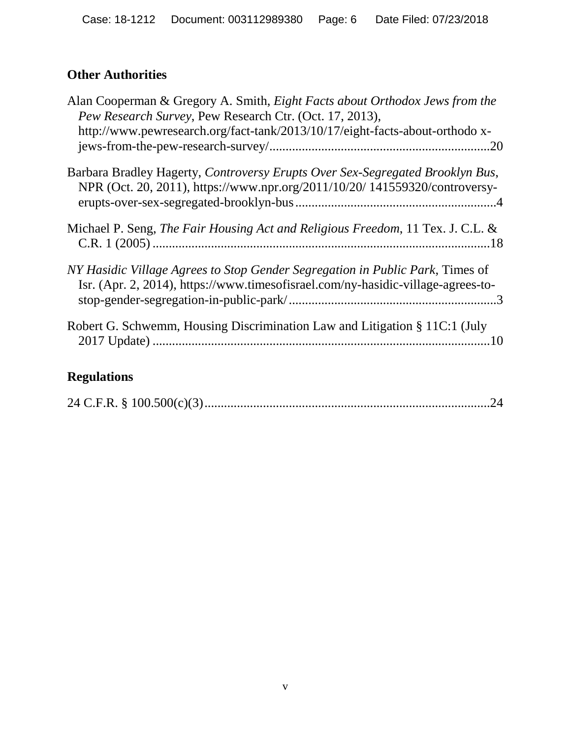# **Other Authorities**

| Alan Cooperman & Gregory A. Smith, <i>Eight Facts about Orthodox Jews from the</i><br>Pew Research Survey, Pew Research Ctr. (Oct. 17, 2013),                     |
|-------------------------------------------------------------------------------------------------------------------------------------------------------------------|
| http://www.pewresearch.org/fact-tank/2013/10/17/eight-facts-about-orthodo x-                                                                                      |
| Barbara Bradley Hagerty, Controversy Erupts Over Sex-Segregated Brooklyn Bus,<br>NPR (Oct. 20, 2011), https://www.npr.org/2011/10/20/ 141559320/controversy-      |
| Michael P. Seng, <i>The Fair Housing Act and Religious Freedom</i> , 11 Tex. J. C.L. &                                                                            |
| NY Hasidic Village Agrees to Stop Gender Segregation in Public Park, Times of<br>Isr. (Apr. 2, 2014), https://www.timesofisrael.com/ny-hasidic-village-agrees-to- |
| Robert G. Schwemm, Housing Discrimination Law and Litigation § 11C:1 (July                                                                                        |

# **Regulations**

|--|--|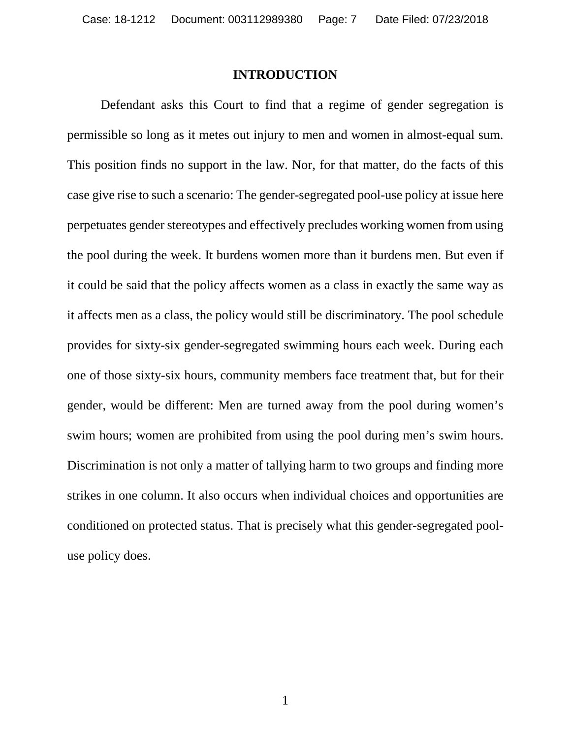#### **INTRODUCTION**

<span id="page-6-0"></span>Defendant asks this Court to find that a regime of gender segregation is permissible so long as it metes out injury to men and women in almost-equal sum. This position finds no support in the law. Nor, for that matter, do the facts of this case give rise to such a scenario: The gender-segregated pool-use policy at issue here perpetuates gender stereotypes and effectively precludes working women from using the pool during the week. It burdens women more than it burdens men. But even if it could be said that the policy affects women as a class in exactly the same way as it affects men as a class, the policy would still be discriminatory. The pool schedule provides for sixty-six gender-segregated swimming hours each week. During each one of those sixty-six hours, community members face treatment that, but for their gender, would be different: Men are turned away from the pool during women's swim hours; women are prohibited from using the pool during men's swim hours. Discrimination is not only a matter of tallying harm to two groups and finding more strikes in one column. It also occurs when individual choices and opportunities are conditioned on protected status. That is precisely what this gender-segregated pooluse policy does.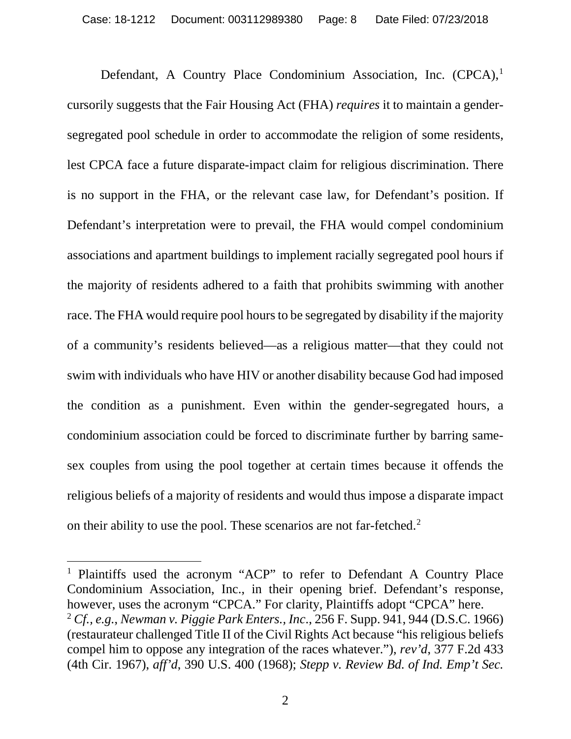Defendant, A Country Place Condominium Association, Inc. (CPCA),<sup>[1](#page-7-0)</sup> cursorily suggests that the Fair Housing Act (FHA) *requires* it to maintain a gendersegregated pool schedule in order to accommodate the religion of some residents, lest CPCA face a future disparate-impact claim for religious discrimination. There is no support in the FHA, or the relevant case law, for Defendant's position. If Defendant's interpretation were to prevail, the FHA would compel condominium associations and apartment buildings to implement racially segregated pool hours if the majority of residents adhered to a faith that prohibits swimming with another race. The FHA would require pool hours to be segregated by disability if the majority of a community's residents believed—as a religious matter—that they could not swim with individuals who have HIV or another disability because God had imposed the condition as a punishment. Even within the gender-segregated hours, a condominium association could be forced to discriminate further by barring samesex couples from using the pool together at certain times because it offends the religious beliefs of a majority of residents and would thus impose a disparate impact on their ability to use the pool. These scenarios are not far-fetched.[2](#page-7-1)

<span id="page-7-1"></span><span id="page-7-0"></span><sup>1</sup> Plaintiffs used the acronym "ACP" to refer to Defendant A Country Place Condominium Association, Inc., in their opening brief. Defendant's response, however, uses the acronym "CPCA." For clarity, Plaintiffs adopt "CPCA" here. <sup>2</sup> *Cf., e.g.*, *Newman v. Piggie Park Enters., Inc*., 256 F. Supp. 941, 944 (D.S.C. 1966) (restaurateur challenged Title II of the Civil Rights Act because "his religious beliefs compel him to oppose any integration of the races whatever."), *rev'd*, 377 F.2d 433 (4th Cir. 1967), *aff'd*, 390 U.S. 400 (1968); *Stepp v. Review Bd. of Ind. Emp't Sec.*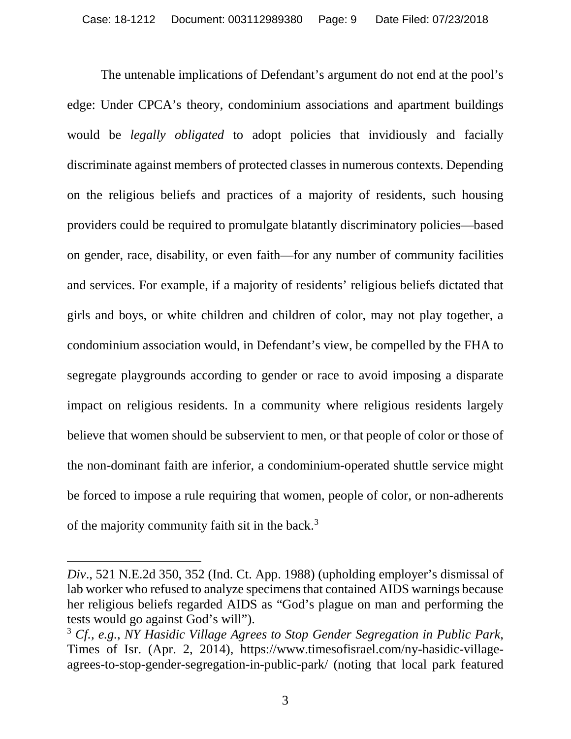The untenable implications of Defendant's argument do not end at the pool's edge: Under CPCA's theory, condominium associations and apartment buildings would be *legally obligated* to adopt policies that invidiously and facially discriminate against members of protected classes in numerous contexts. Depending on the religious beliefs and practices of a majority of residents, such housing providers could be required to promulgate blatantly discriminatory policies—based on gender, race, disability, or even faith—for any number of community facilities and services. For example, if a majority of residents' religious beliefs dictated that girls and boys, or white children and children of color, may not play together, a condominium association would, in Defendant's view, be compelled by the FHA to segregate playgrounds according to gender or race to avoid imposing a disparate impact on religious residents. In a community where religious residents largely believe that women should be subservient to men, or that people of color or those of the non-dominant faith are inferior, a condominium-operated shuttle service might be forced to impose a rule requiring that women, people of color, or non-adherents of the majority community faith sit in the back.[3](#page-8-0)

 $\overline{a}$ 

*Div*., 521 N.E.2d 350, 352 (Ind. Ct. App. 1988) (upholding employer's dismissal of lab worker who refused to analyze specimens that contained AIDS warnings because her religious beliefs regarded AIDS as "God's plague on man and performing the tests would go against God's will").

<span id="page-8-0"></span><sup>3</sup> *Cf., e.g.*, *NY Hasidic Village Agrees to Stop Gender Segregation in Public Park*, Times of Isr. (Apr. 2, 2014), https://www.timesofisrael.com/ny-hasidic-villageagrees-to-stop-gender-segregation-in-public-park/ (noting that local park featured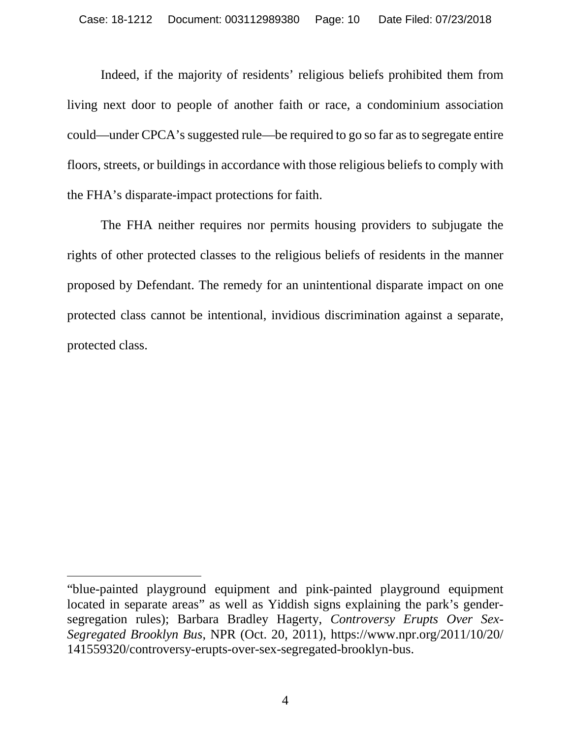Indeed, if the majority of residents' religious beliefs prohibited them from living next door to people of another faith or race, a condominium association could—under CPCA's suggested rule—be required to go so far as to segregate entire floors, streets, or buildings in accordance with those religious beliefs to comply with the FHA's disparate-impact protections for faith.

The FHA neither requires nor permits housing providers to subjugate the rights of other protected classes to the religious beliefs of residents in the manner proposed by Defendant. The remedy for an unintentional disparate impact on one protected class cannot be intentional, invidious discrimination against a separate, protected class.

 $\overline{a}$ 

<sup>&</sup>quot;blue-painted playground equipment and pink-painted playground equipment located in separate areas" as well as Yiddish signs explaining the park's gendersegregation rules); Barbara Bradley Hagerty, *Controversy Erupts Over Sex-Segregated Brooklyn Bus*, NPR (Oct. 20, 2011), https://www.npr.org/2011/10/20/ 141559320/controversy-erupts-over-sex-segregated-brooklyn-bus.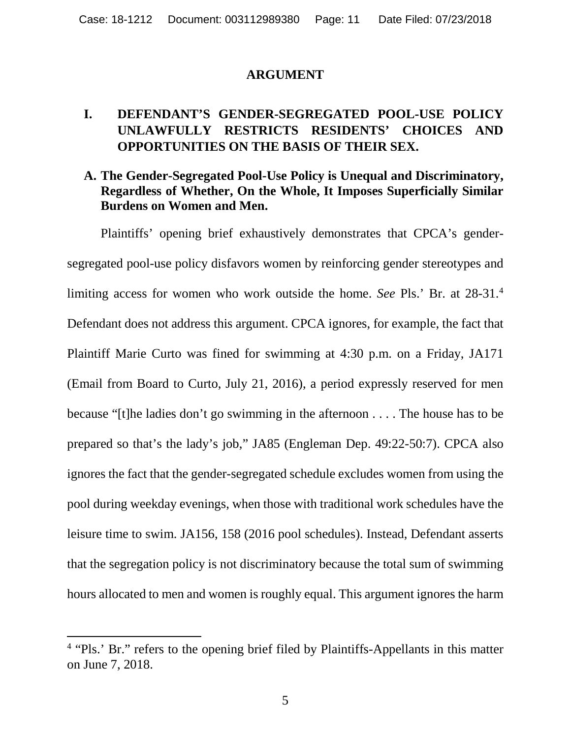#### **ARGUMENT**

## <span id="page-10-1"></span><span id="page-10-0"></span>**I. DEFENDANT'S GENDER-SEGREGATED POOL-USE POLICY UNLAWFULLY RESTRICTS RESIDENTS' CHOICES AND OPPORTUNITIES ON THE BASIS OF THEIR SEX.**

#### <span id="page-10-2"></span>**A. The Gender-Segregated Pool-Use Policy is Unequal and Discriminatory, Regardless of Whether, On the Whole, It Imposes Superficially Similar Burdens on Women and Men.**

Plaintiffs' opening brief exhaustively demonstrates that CPCA's gendersegregated pool-use policy disfavors women by reinforcing gender stereotypes and limiting access for women who work outside the home. *See* Pls.' Br. at 28-31[.4](#page-10-3) Defendant does not address this argument. CPCA ignores, for example, the fact that Plaintiff Marie Curto was fined for swimming at 4:30 p.m. on a Friday, JA171 (Email from Board to Curto, July 21, 2016), a period expressly reserved for men because "[t]he ladies don't go swimming in the afternoon . . . . The house has to be prepared so that's the lady's job," JA85 (Engleman Dep. 49:22-50:7). CPCA also ignores the fact that the gender-segregated schedule excludes women from using the pool during weekday evenings, when those with traditional work schedules have the leisure time to swim. JA156, 158 (2016 pool schedules). Instead, Defendant asserts that the segregation policy is not discriminatory because the total sum of swimming hours allocated to men and women is roughly equal. This argument ignores the harm

<span id="page-10-3"></span><sup>&</sup>lt;sup>4</sup> "Pls.' Br." refers to the opening brief filed by Plaintiffs-Appellants in this matter on June 7, 2018.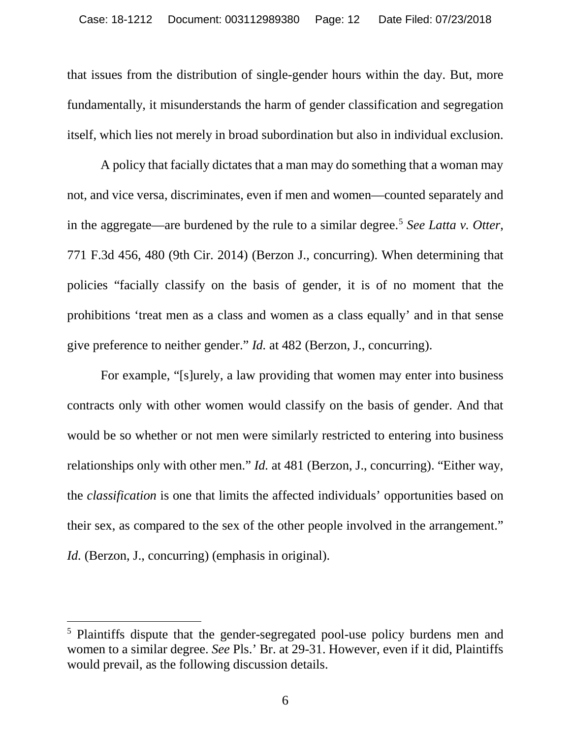that issues from the distribution of single-gender hours within the day. But, more fundamentally, it misunderstands the harm of gender classification and segregation itself, which lies not merely in broad subordination but also in individual exclusion.

A policy that facially dictates that a man may do something that a woman may not, and vice versa, discriminates, even if men and women—counted separately and in the aggregate—are burdened by the rule to a similar degree. [5](#page-11-0) *See Latta v. Otter*, 771 F.3d 456, 480 (9th Cir. 2014) (Berzon J., concurring). When determining that policies "facially classify on the basis of gender, it is of no moment that the prohibitions 'treat men as a class and women as a class equally' and in that sense give preference to neither gender." *Id.* at 482 (Berzon, J., concurring).

For example, "[s]urely, a law providing that women may enter into business contracts only with other women would classify on the basis of gender. And that would be so whether or not men were similarly restricted to entering into business relationships only with other men." *Id.* at 481 (Berzon, J., concurring). "Either way, the *classification* is one that limits the affected individuals' opportunities based on their sex, as compared to the sex of the other people involved in the arrangement." *Id.* (Berzon, J., concurring) (emphasis in original).

<span id="page-11-0"></span> <sup>5</sup> Plaintiffs dispute that the gender-segregated pool-use policy burdens men and women to a similar degree. *See* Pls.' Br. at 29-31. However, even if it did, Plaintiffs would prevail, as the following discussion details.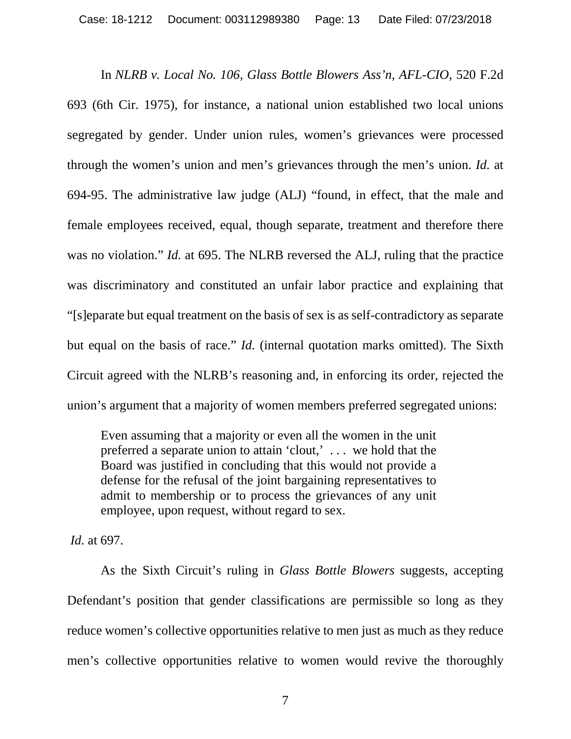In *NLRB v. Local No. 106, Glass Bottle Blowers Ass'n, AFL-CIO,* 520 F.2d 693 (6th Cir. 1975), for instance, a national union established two local unions segregated by gender. Under union rules, women's grievances were processed through the women's union and men's grievances through the men's union. *Id.* at 694-95. The administrative law judge (ALJ) "found, in effect, that the male and female employees received, equal, though separate, treatment and therefore there was no violation." *Id.* at 695. The NLRB reversed the ALJ, ruling that the practice was discriminatory and constituted an unfair labor practice and explaining that "[s]eparate but equal treatment on the basis of sex is as self-contradictory as separate but equal on the basis of race." *Id.* (internal quotation marks omitted). The Sixth Circuit agreed with the NLRB's reasoning and, in enforcing its order, rejected the union's argument that a majority of women members preferred segregated unions:

Even assuming that a majority or even all the women in the unit preferred a separate union to attain 'clout,' . . . we hold that the Board was justified in concluding that this would not provide a defense for the refusal of the joint bargaining representatives to admit to membership or to process the grievances of any unit employee, upon request, without regard to sex.

*Id.* at 697.

As the Sixth Circuit's ruling in *Glass Bottle Blowers* suggests, accepting Defendant's position that gender classifications are permissible so long as they reduce women's collective opportunities relative to men just as much as they reduce men's collective opportunities relative to women would revive the thoroughly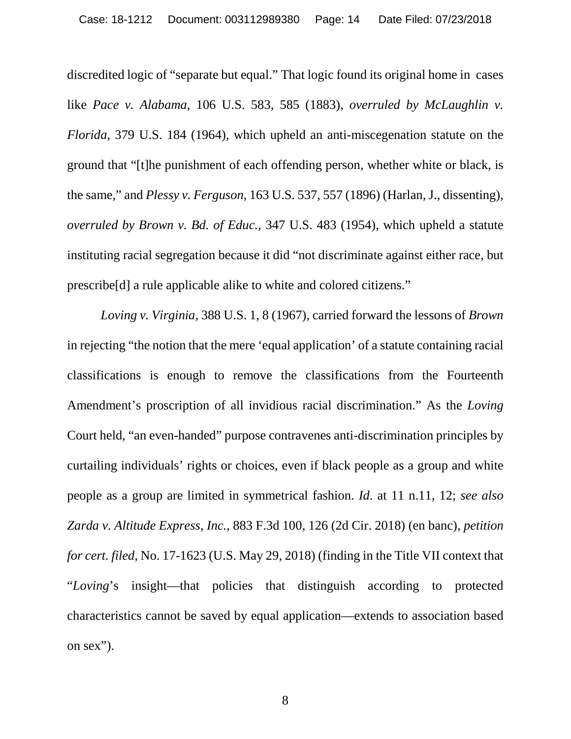discredited logic of "separate but equal." That logic found its original home in cases like *Pace v. Alabama*, 106 U.S. 583, 585 (1883), *overruled by McLaughlin v. Florida*, 379 U.S. 184 (1964), which upheld an anti-miscegenation statute on the ground that "[t]he punishment of each offending person, whether white or black, is the same," and *Plessy v. Ferguson*, 163 U.S. 537, 557 (1896) (Harlan, J., dissenting), *overruled by Brown v. Bd. of Educ.*, 347 U.S. 483 (1954), which upheld a statute instituting racial segregation because it did "not discriminate against either race, but prescribe[d] a rule applicable alike to white and colored citizens."

*Loving v. Virginia,* 388 U.S. 1, 8 (1967), carried forward the lessons of *Brown* in rejecting "the notion that the mere 'equal application' of a statute containing racial classifications is enough to remove the classifications from the Fourteenth Amendment's proscription of all invidious racial discrimination." As the *Loving*  Court held, "an even-handed" purpose contravenes anti-discrimination principles by curtailing individuals' rights or choices, even if black people as a group and white people as a group are limited in symmetrical fashion. *Id*. at 11 n.11, 12; *see also Zarda v. Altitude Express, Inc.*, 883 F.3d 100, 126 (2d Cir. 2018) (en banc), *petition for cert. filed*, No. 17-1623 (U.S. May 29, 2018) (finding in the Title VII context that "*Loving*'s insight—that policies that distinguish according to protected characteristics cannot be saved by equal application—extends to association based on sex").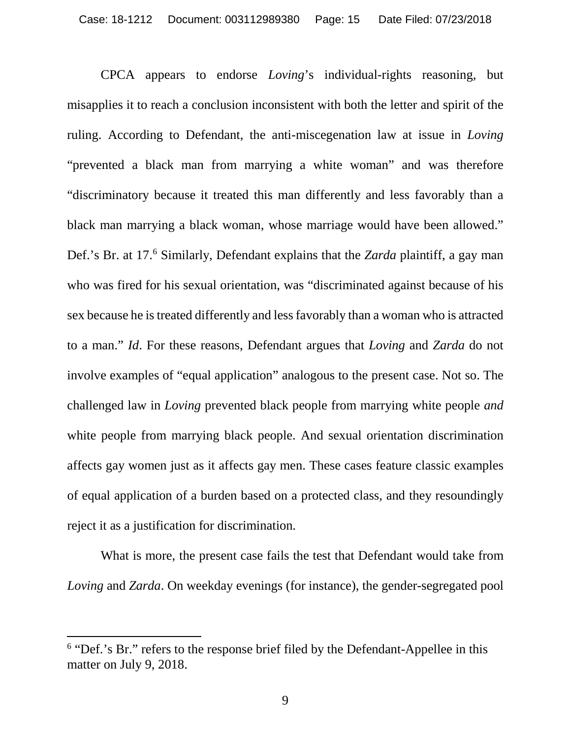CPCA appears to endorse *Loving*'s individual-rights reasoning, but misapplies it to reach a conclusion inconsistent with both the letter and spirit of the ruling. According to Defendant, the anti-miscegenation law at issue in *Loving*  "prevented a black man from marrying a white woman" and was therefore "discriminatory because it treated this man differently and less favorably than a black man marrying a black woman, whose marriage would have been allowed." Def.'s Br. at 17.[6](#page-14-0) Similarly, Defendant explains that the *Zarda* plaintiff, a gay man who was fired for his sexual orientation, was "discriminated against because of his sex because he is treated differently and less favorably than a woman who is attracted to a man." *Id*. For these reasons, Defendant argues that *Loving* and *Zarda* do not involve examples of "equal application" analogous to the present case. Not so. The challenged law in *Loving* prevented black people from marrying white people *and* white people from marrying black people. And sexual orientation discrimination affects gay women just as it affects gay men. These cases feature classic examples of equal application of a burden based on a protected class, and they resoundingly reject it as a justification for discrimination.

What is more, the present case fails the test that Defendant would take from *Loving* and *Zarda*. On weekday evenings (for instance), the gender-segregated pool

<span id="page-14-0"></span><sup>&</sup>lt;sup>6</sup> "Def.'s Br." refers to the response brief filed by the Defendant-Appellee in this matter on July 9, 2018.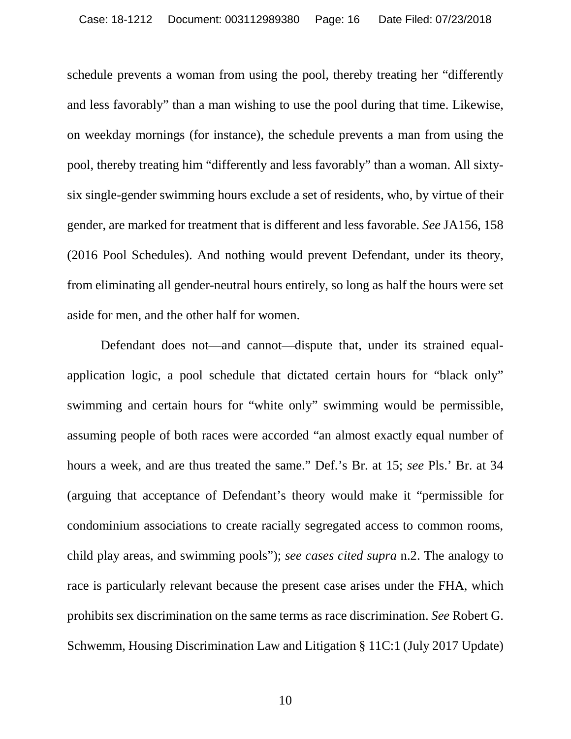schedule prevents a woman from using the pool, thereby treating her "differently and less favorably" than a man wishing to use the pool during that time. Likewise, on weekday mornings (for instance), the schedule prevents a man from using the pool, thereby treating him "differently and less favorably" than a woman. All sixtysix single-gender swimming hours exclude a set of residents, who, by virtue of their gender, are marked for treatment that is different and less favorable. *See* JA156, 158 (2016 Pool Schedules). And nothing would prevent Defendant, under its theory, from eliminating all gender-neutral hours entirely, so long as half the hours were set aside for men, and the other half for women.

Defendant does not—and cannot—dispute that, under its strained equalapplication logic, a pool schedule that dictated certain hours for "black only" swimming and certain hours for "white only" swimming would be permissible, assuming people of both races were accorded "an almost exactly equal number of hours a week, and are thus treated the same." Def.'s Br. at 15; *see* Pls.' Br. at 34 (arguing that acceptance of Defendant's theory would make it "permissible for condominium associations to create racially segregated access to common rooms, child play areas, and swimming pools"); *see cases cited supra* n.2. The analogy to race is particularly relevant because the present case arises under the FHA, which prohibits sex discrimination on the same terms as race discrimination. *See* Robert G. Schwemm, Housing Discrimination Law and Litigation § 11C:1 (July 2017 Update)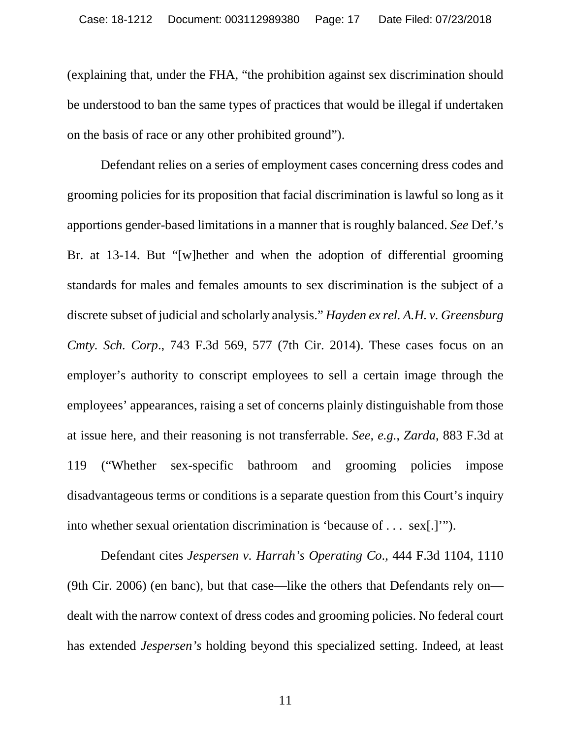(explaining that, under the FHA, "the prohibition against sex discrimination should be understood to ban the same types of practices that would be illegal if undertaken on the basis of race or any other prohibited ground").

Defendant relies on a series of employment cases concerning dress codes and grooming policies for its proposition that facial discrimination is lawful so long as it apportions gender-based limitations in a manner that is roughly balanced. *See* Def.'s Br. at 13-14. But "[w]hether and when the adoption of differential grooming standards for males and females amounts to sex discrimination is the subject of a discrete subset of judicial and scholarly analysis." *Hayden ex rel. A.H. v. Greensburg Cmty. Sch. Corp*., 743 F.3d 569, 577 (7th Cir. 2014). These cases focus on an employer's authority to conscript employees to sell a certain image through the employees' appearances, raising a set of concerns plainly distinguishable from those at issue here, and their reasoning is not transferrable. *See, e.g.*, *Zarda*, 883 F.3d at 119 ("Whether sex-specific bathroom and grooming policies impose disadvantageous terms or conditions is a separate question from this Court's inquiry into whether sexual orientation discrimination is 'because of . . . sex[.]'").

Defendant cites *Jespersen v. Harrah's Operating Co*., 444 F.3d 1104, 1110 (9th Cir. 2006) (en banc), but that case—like the others that Defendants rely on dealt with the narrow context of dress codes and grooming policies. No federal court has extended *Jespersen's* holding beyond this specialized setting. Indeed, at least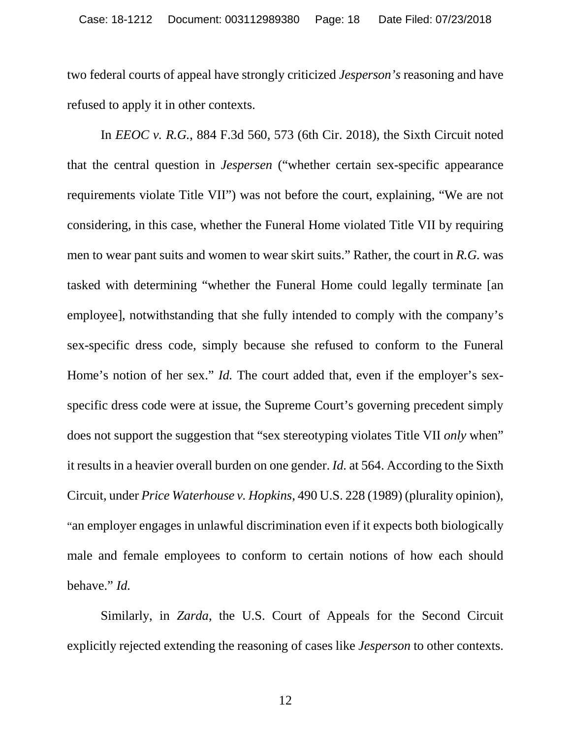two federal courts of appeal have strongly criticized *Jesperson's* reasoning and have refused to apply it in other contexts.

In *EEOC v. R.G.*, 884 F.3d 560, 573 (6th Cir. 2018), the Sixth Circuit noted that the central question in *Jespersen* ("whether certain sex-specific appearance requirements violate Title VII") was not before the court, explaining, "We are not considering, in this case, whether the Funeral Home violated Title VII by requiring men to wear pant suits and women to wear skirt suits." Rather, the court in *R.G.* was tasked with determining "whether the Funeral Home could legally terminate [an employee], notwithstanding that she fully intended to comply with the company's sex-specific dress code, simply because she refused to conform to the Funeral Home's notion of her sex." *Id.* The court added that, even if the employer's sexspecific dress code were at issue, the Supreme Court's governing precedent simply does not support the suggestion that "sex stereotyping violates Title VII *only* when" it results in a heavier overall burden on one gender. *Id.* at 564. According to the Sixth Circuit, under *Price Waterhouse v. Hopkins*, 490 U.S. 228 (1989) (plurality opinion), "an employer engages in unlawful discrimination even if it expects both biologically male and female employees to conform to certain notions of how each should behave." *Id.*

Similarly, in *Zarda*, the U.S. Court of Appeals for the Second Circuit explicitly rejected extending the reasoning of cases like *Jesperson* to other contexts.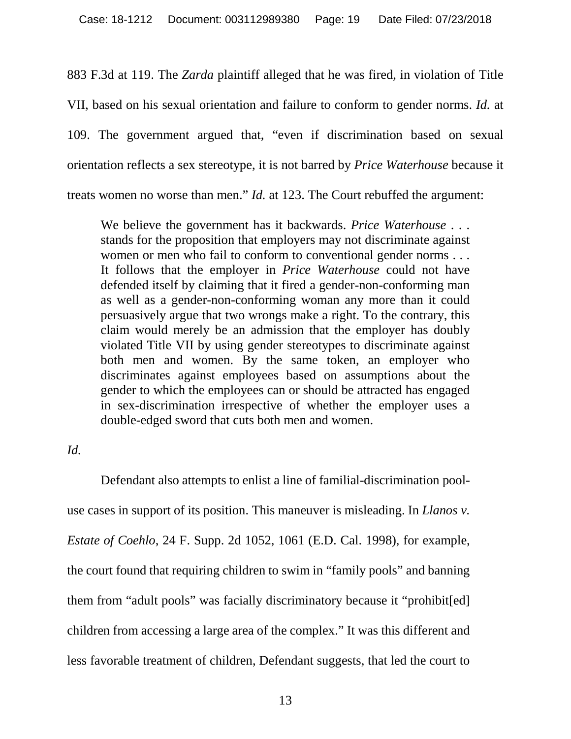883 F.3d at 119. The *Zarda* plaintiff alleged that he was fired, in violation of Title VII, based on his sexual orientation and failure to conform to gender norms. *Id.* at 109. The government argued that, "even if discrimination based on sexual orientation reflects a sex stereotype, it is not barred by *Price Waterhouse* because it treats women no worse than men." *Id.* at 123. The Court rebuffed the argument:

We believe the government has it backwards. *Price Waterhouse* . . . stands for the proposition that employers may not discriminate against women or men who fail to conform to conventional gender norms . . . It follows that the employer in *Price Waterhouse* could not have defended itself by claiming that it fired a gender-non-conforming man as well as a gender-non-conforming woman any more than it could persuasively argue that two wrongs make a right. To the contrary, this claim would merely be an admission that the employer has doubly violated Title VII by using gender stereotypes to discriminate against both men and women. By the same token, an employer who discriminates against employees based on assumptions about the gender to which the employees can or should be attracted has engaged in sex-discrimination irrespective of whether the employer uses a double-edged sword that cuts both men and women.

#### *Id.*

Defendant also attempts to enlist a line of familial-discrimination pooluse cases in support of its position. This maneuver is misleading. In *Llanos v. Estate of Coehlo*, 24 F. Supp. 2d 1052, 1061 (E.D. Cal. 1998), for example, the court found that requiring children to swim in "family pools" and banning them from "adult pools" was facially discriminatory because it "prohibit[ed] children from accessing a large area of the complex." It was this different and less favorable treatment of children, Defendant suggests, that led the court to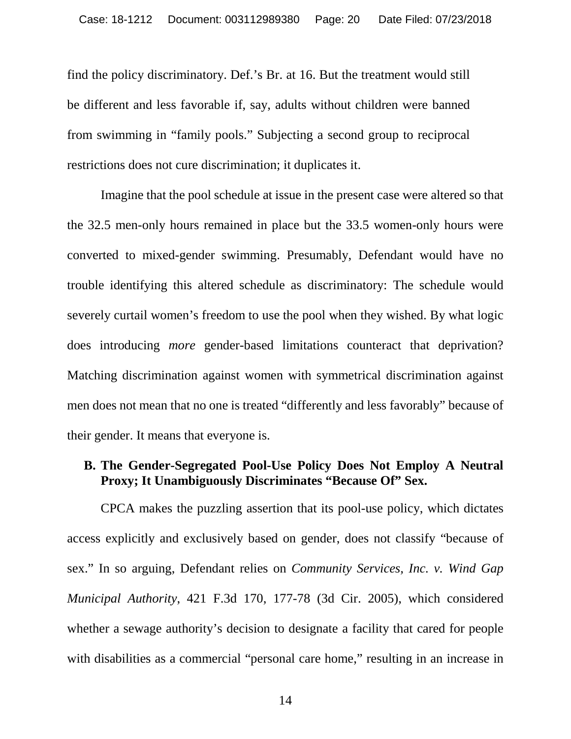find the policy discriminatory. Def.'s Br. at 16. But the treatment would still be different and less favorable if, say, adults without children were banned from swimming in "family pools." Subjecting a second group to reciprocal restrictions does not cure discrimination; it duplicates it.

Imagine that the pool schedule at issue in the present case were altered so that the 32.5 men-only hours remained in place but the 33.5 women-only hours were converted to mixed-gender swimming. Presumably, Defendant would have no trouble identifying this altered schedule as discriminatory: The schedule would severely curtail women's freedom to use the pool when they wished. By what logic does introducing *more* gender-based limitations counteract that deprivation? Matching discrimination against women with symmetrical discrimination against men does not mean that no one is treated "differently and less favorably" because of their gender. It means that everyone is.

#### <span id="page-19-0"></span>**B. The Gender-Segregated Pool-Use Policy Does Not Employ A Neutral Proxy; It Unambiguously Discriminates "Because Of" Sex.**

CPCA makes the puzzling assertion that its pool-use policy, which dictates access explicitly and exclusively based on gender, does not classify "because of sex." In so arguing, Defendant relies on *Community Services, Inc. v. Wind Gap Municipal Authority*, 421 F.3d 170, 177-78 (3d Cir. 2005), which considered whether a sewage authority's decision to designate a facility that cared for people with disabilities as a commercial "personal care home," resulting in an increase in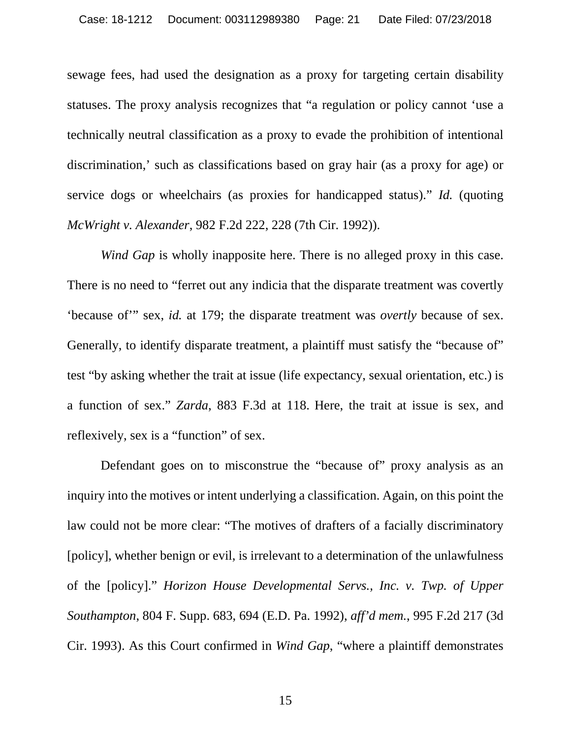sewage fees, had used the designation as a proxy for targeting certain disability statuses. The proxy analysis recognizes that "a regulation or policy cannot 'use a technically neutral classification as a proxy to evade the prohibition of intentional discrimination,' such as classifications based on gray hair (as a proxy for age) or service dogs or wheelchairs (as proxies for handicapped status)." *Id.* (quoting *McWright v. Alexander*, 982 F.2d 222, 228 (7th Cir. 1992)).

*Wind Gap* is wholly inapposite here. There is no alleged proxy in this case. There is no need to "ferret out any indicia that the disparate treatment was covertly 'because of'" sex, *id.* at 179; the disparate treatment was *overtly* because of sex. Generally, to identify disparate treatment, a plaintiff must satisfy the "because of" test "by asking whether the trait at issue (life expectancy, sexual orientation, etc.) is a function of sex." *Zarda*, 883 F.3d at 118. Here, the trait at issue is sex, and reflexively, sex is a "function" of sex.

Defendant goes on to misconstrue the "because of" proxy analysis as an inquiry into the motives or intent underlying a classification. Again, on this point the law could not be more clear: "The motives of drafters of a facially discriminatory [policy], whether benign or evil, is irrelevant to a determination of the unlawfulness of the [policy]." *Horizon House Developmental Servs., Inc. v. Twp. of Upper Southampton*, 804 F. Supp. 683, 694 (E.D. Pa. 1992), *aff'd mem.*, 995 F.2d 217 (3d Cir. 1993). As this Court confirmed in *Wind Gap*, "where a plaintiff demonstrates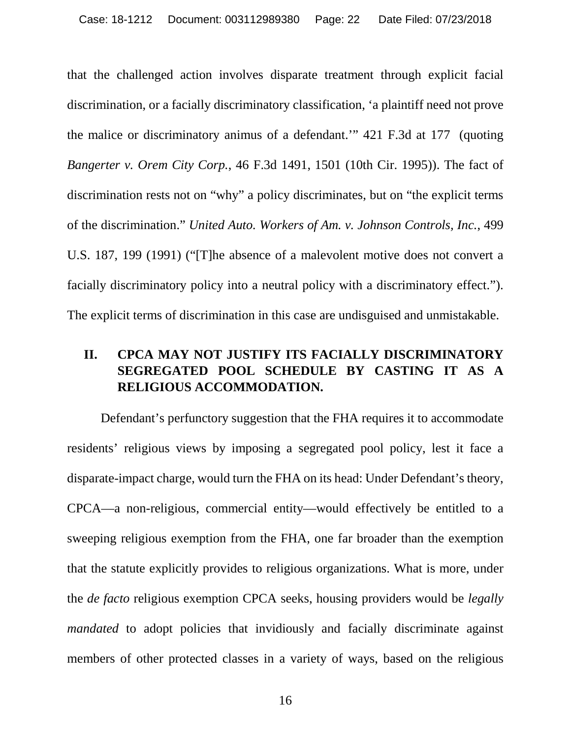that the challenged action involves disparate treatment through explicit facial discrimination, or a facially discriminatory classification, 'a plaintiff need not prove the malice or discriminatory animus of a defendant.'" 421 F.3d at 177 (quoting *Bangerter v. Orem City Corp.*, 46 F.3d 1491, 1501 (10th Cir. 1995)). The fact of discrimination rests not on "why" a policy discriminates, but on "the explicit terms of the discrimination." *United Auto. Workers of Am. v. Johnson Controls, Inc.*, 499 U.S. 187, 199 (1991) ("[T]he absence of a malevolent motive does not convert a facially discriminatory policy into a neutral policy with a discriminatory effect."). The explicit terms of discrimination in this case are undisguised and unmistakable.

## <span id="page-21-0"></span>**II. CPCA MAY NOT JUSTIFY ITS FACIALLY DISCRIMINATORY SEGREGATED POOL SCHEDULE BY CASTING IT AS A RELIGIOUS ACCOMMODATION.**

Defendant's perfunctory suggestion that the FHA requires it to accommodate residents' religious views by imposing a segregated pool policy, lest it face a disparate-impact charge, would turn the FHA on its head: Under Defendant's theory, CPCA—a non-religious, commercial entity—would effectively be entitled to a sweeping religious exemption from the FHA, one far broader than the exemption that the statute explicitly provides to religious organizations. What is more, under the *de facto* religious exemption CPCA seeks, housing providers would be *legally mandated* to adopt policies that invidiously and facially discriminate against members of other protected classes in a variety of ways, based on the religious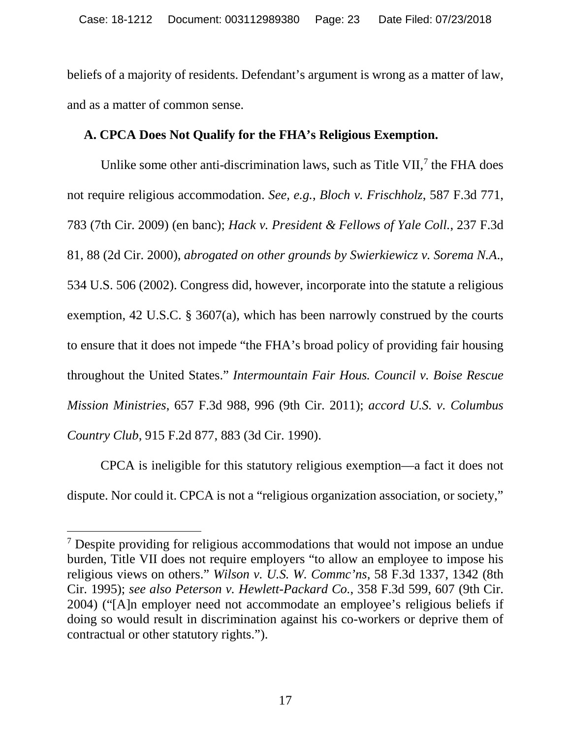beliefs of a majority of residents. Defendant's argument is wrong as a matter of law, and as a matter of common sense.

#### <span id="page-22-0"></span>**A. CPCA Does Not Qualify for the FHA's Religious Exemption.**

Unlike some other anti-discrimination laws, such as Title VII,<sup>[7](#page-22-1)</sup> the FHA does not require religious accommodation. *See, e.g.*, *Bloch v. Frischholz*, 587 F.3d 771, 783 (7th Cir. 2009) (en banc); *Hack v. President & Fellows of Yale Coll.*, 237 F.3d 81, 88 (2d Cir. 2000), *abrogated on other grounds by Swierkiewicz v. Sorema N.A*., 534 U.S. 506 (2002). Congress did, however, incorporate into the statute a religious exemption, 42 U.S.C. § 3607(a), which has been narrowly construed by the courts to ensure that it does not impede "the FHA's broad policy of providing fair housing throughout the United States." *Intermountain Fair Hous. Council v. Boise Rescue Mission Ministries*, 657 F.3d 988, 996 (9th Cir. 2011); *accord U.S. v. Columbus Country Club*, 915 F.2d 877, 883 (3d Cir. 1990).

CPCA is ineligible for this statutory religious exemption—a fact it does not dispute. Nor could it. CPCA is not a "religious organization association, or society,"

<span id="page-22-1"></span><sup>&</sup>lt;sup>7</sup> Despite providing for religious accommodations that would not impose an undue burden, Title VII does not require employers "to allow an employee to impose his religious views on others." *Wilson v. U.S. W. Commc'ns*, 58 F.3d 1337, 1342 (8th Cir. 1995); *see also Peterson v. Hewlett-Packard Co.*, 358 F.3d 599, 607 (9th Cir. 2004) ("[A]n employer need not accommodate an employee's religious beliefs if doing so would result in discrimination against his co-workers or deprive them of contractual or other statutory rights.").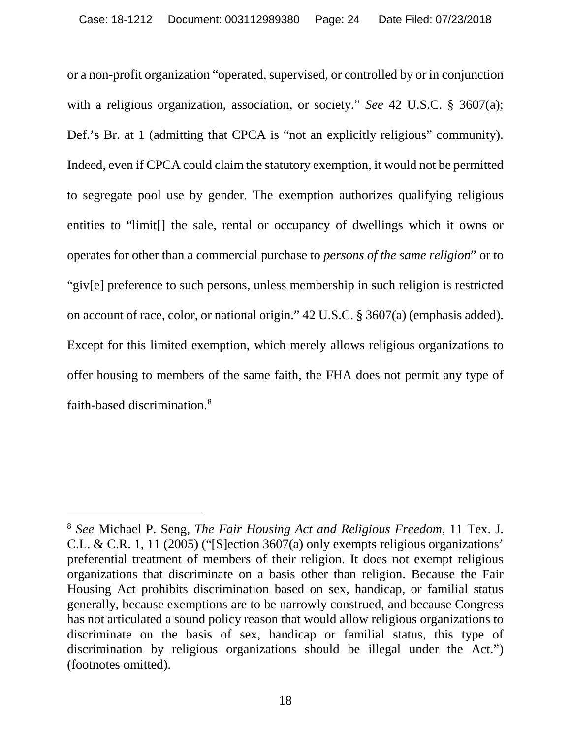or a non-profit organization "operated, supervised, or controlled by or in conjunction with a religious organization, association, or society." *See* 42 U.S.C. § 3607(a); Def.'s Br. at 1 (admitting that CPCA is "not an explicitly religious" community). Indeed, even if CPCA could claim the statutory exemption, it would not be permitted to segregate pool use by gender. The exemption authorizes qualifying religious entities to "limit[] the sale, rental or occupancy of dwellings which it owns or operates for other than a commercial purchase to *persons of the same religion*" or to "giv[e] preference to such persons, unless membership in such religion is restricted on account of race, color, or national origin." 42 U.S.C. § 3607(a) (emphasis added). Except for this limited exemption, which merely allows religious organizations to offer housing to members of the same faith, the FHA does not permit any type of faith-based discrimination. [8](#page-23-0)

<span id="page-23-0"></span> <sup>8</sup> *See* Michael P. Seng, *The Fair Housing Act and Religious Freedom*, 11 Tex. J. C.L. & C.R. 1, 11 (2005) ("[S]ection 3607(a) only exempts religious organizations' preferential treatment of members of their religion. It does not exempt religious organizations that discriminate on a basis other than religion. Because the Fair Housing Act prohibits discrimination based on sex, handicap, or familial status generally, because exemptions are to be narrowly construed, and because Congress has not articulated a sound policy reason that would allow religious organizations to discriminate on the basis of sex, handicap or familial status, this type of discrimination by religious organizations should be illegal under the Act.") (footnotes omitted).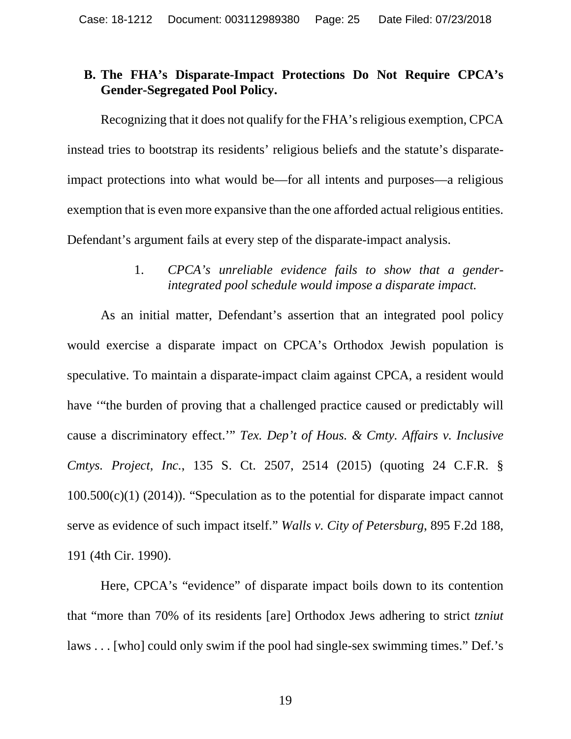#### <span id="page-24-0"></span>**B. The FHA's Disparate-Impact Protections Do Not Require CPCA's Gender-Segregated Pool Policy.**

Recognizing that it does not qualify for the FHA's religious exemption, CPCA instead tries to bootstrap its residents' religious beliefs and the statute's disparateimpact protections into what would be—for all intents and purposes—a religious exemption that is even more expansive than the one afforded actual religious entities. Defendant's argument fails at every step of the disparate-impact analysis.

> 1. *CPCA's unreliable evidence fails to show that a genderintegrated pool schedule would impose a disparate impact.*

<span id="page-24-1"></span>As an initial matter, Defendant's assertion that an integrated pool policy would exercise a disparate impact on CPCA's Orthodox Jewish population is speculative. To maintain a disparate-impact claim against CPCA, a resident would have '"the burden of proving that a challenged practice caused or predictably will cause a discriminatory effect.'" *Tex. Dep't of Hous. & Cmty. Affairs v. Inclusive Cmtys. Project, Inc.*, 135 S. Ct. 2507, 2514 (2015) (quoting 24 C.F.R. §  $100.500(c)(1)$  (2014)). "Speculation as to the potential for disparate impact cannot serve as evidence of such impact itself." *Walls v. City of Petersburg*, 895 F.2d 188, 191 (4th Cir. 1990).

Here, CPCA's "evidence" of disparate impact boils down to its contention that "more than 70% of its residents [are] Orthodox Jews adhering to strict *tzniut* laws . . . [who] could only swim if the pool had single-sex swimming times." Def.'s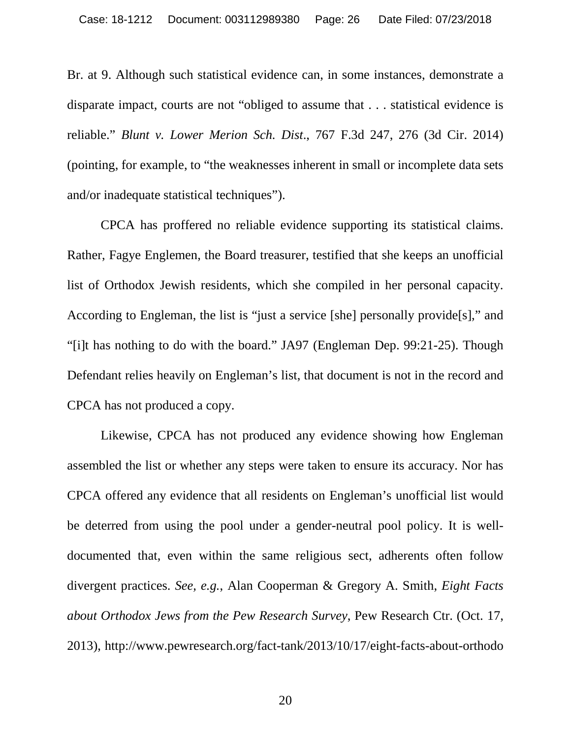Br. at 9. Although such statistical evidence can, in some instances, demonstrate a disparate impact, courts are not "obliged to assume that . . . statistical evidence is reliable." *Blunt v. Lower Merion Sch. Dist*., 767 F.3d 247, 276 (3d Cir. 2014) (pointing, for example, to "the weaknesses inherent in small or incomplete data sets and/or inadequate statistical techniques").

CPCA has proffered no reliable evidence supporting its statistical claims. Rather, Fagye Englemen, the Board treasurer, testified that she keeps an unofficial list of Orthodox Jewish residents, which she compiled in her personal capacity. According to Engleman, the list is "just a service [she] personally provide[s]," and "[i]t has nothing to do with the board." JA97 (Engleman Dep. 99:21-25). Though Defendant relies heavily on Engleman's list, that document is not in the record and CPCA has not produced a copy.

Likewise, CPCA has not produced any evidence showing how Engleman assembled the list or whether any steps were taken to ensure its accuracy. Nor has CPCA offered any evidence that all residents on Engleman's unofficial list would be deterred from using the pool under a gender-neutral pool policy. It is welldocumented that, even within the same religious sect, adherents often follow divergent practices. *See, e.g.*, Alan Cooperman & Gregory A. Smith, *Eight Facts about Orthodox Jews from the Pew Research Survey*, Pew Research Ctr. (Oct. 17, 2013), http://www.pewresearch.org/fact-tank/2013/10/17/eight-facts-about-orthodo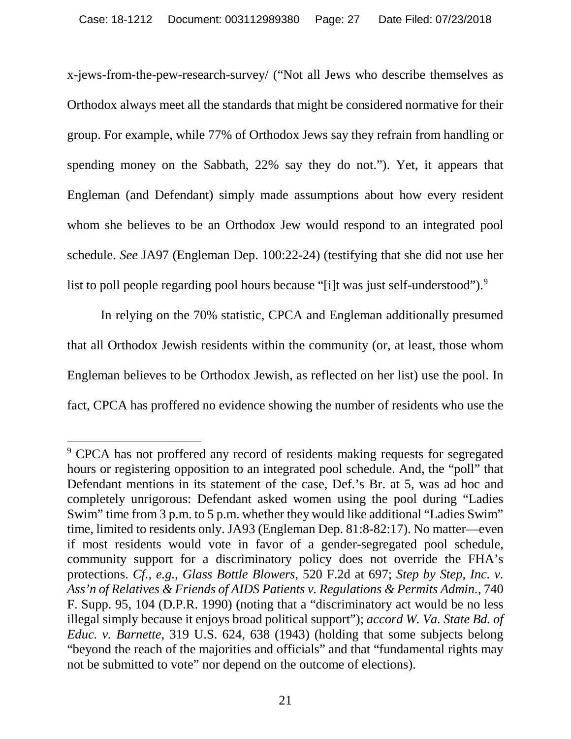x-jews-from-the-pew-research-survey/ ("Not all Jews who describe themselves as Orthodox always meet all the standards that might be considered normative for their group. For example, while 77% of Orthodox Jews say they refrain from handling or spending money on the Sabbath, 22% say they do not."). Yet, it appears that Engleman (and Defendant) simply made assumptions about how every resident whom she believes to be an Orthodox Jew would respond to an integrated pool schedule. *See* JA97 (Engleman Dep. 100:22-24) (testifying that she did not use her list to poll people regarding pool hours because "[i]t was just self-understood").<sup>[9](#page-26-0)</sup>

In relying on the 70% statistic, CPCA and Engleman additionally presumed that all Orthodox Jewish residents within the community (or, at least, those whom Engleman believes to be Orthodox Jewish, as reflected on her list) use the pool. In fact, CPCA has proffered no evidence showing the number of residents who use the

<span id="page-26-0"></span><sup>&</sup>lt;sup>9</sup> CPCA has not proffered any record of residents making requests for segregated hours or registering opposition to an integrated pool schedule. And, the "poll" that Defendant mentions in its statement of the case, Def.'s Br. at 5, was ad hoc and completely unrigorous: Defendant asked women using the pool during "Ladies Swim" time from 3 p.m. to 5 p.m. whether they would like additional "Ladies Swim" time, limited to residents only. JA93 (Engleman Dep. 81:8-82:17). No matter—even if most residents would vote in favor of a gender-segregated pool schedule, community support for a discriminatory policy does not override the FHA's protections. *Cf., e.g.*, *Glass Bottle Blowers*, 520 F.2d at 697; *Step by Step, Inc. v. Ass'n of Relatives & Friends of AIDS Patients v. Regulations & Permits Admin.*, 740 F. Supp. 95, 104 (D.P.R. 1990) (noting that a "discriminatory act would be no less illegal simply because it enjoys broad political support"); *accord W. Va. State Bd. of Educ. v. Barnette*, 319 U.S. 624, 638 (1943) (holding that some subjects belong "beyond the reach of the majorities and officials" and that "fundamental rights may not be submitted to vote" nor depend on the outcome of elections).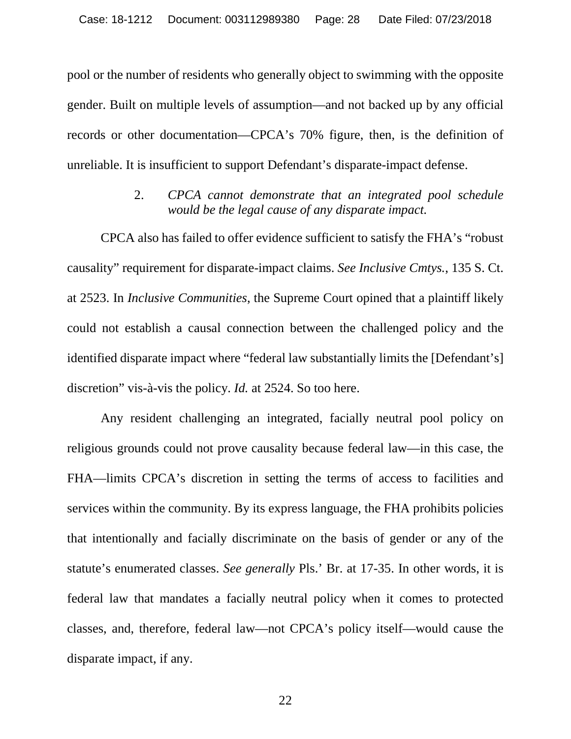pool or the number of residents who generally object to swimming with the opposite gender. Built on multiple levels of assumption—and not backed up by any official records or other documentation—CPCA's 70% figure, then, is the definition of unreliable. It is insufficient to support Defendant's disparate-impact defense.

> 2. *CPCA cannot demonstrate that an integrated pool schedule would be the legal cause of any disparate impact.*

<span id="page-27-0"></span>CPCA also has failed to offer evidence sufficient to satisfy the FHA's "robust causality" requirement for disparate-impact claims. *See Inclusive Cmtys.*, 135 S. Ct. at 2523. In *Inclusive Communities*, the Supreme Court opined that a plaintiff likely could not establish a causal connection between the challenged policy and the identified disparate impact where "federal law substantially limits the [Defendant's] discretion" vis-à-vis the policy. *Id.* at 2524. So too here.

Any resident challenging an integrated, facially neutral pool policy on religious grounds could not prove causality because federal law—in this case, the FHA—limits CPCA's discretion in setting the terms of access to facilities and services within the community. By its express language, the FHA prohibits policies that intentionally and facially discriminate on the basis of gender or any of the statute's enumerated classes. *See generally* Pls.' Br. at 17-35. In other words, it is federal law that mandates a facially neutral policy when it comes to protected classes, and, therefore, federal law—not CPCA's policy itself—would cause the disparate impact, if any.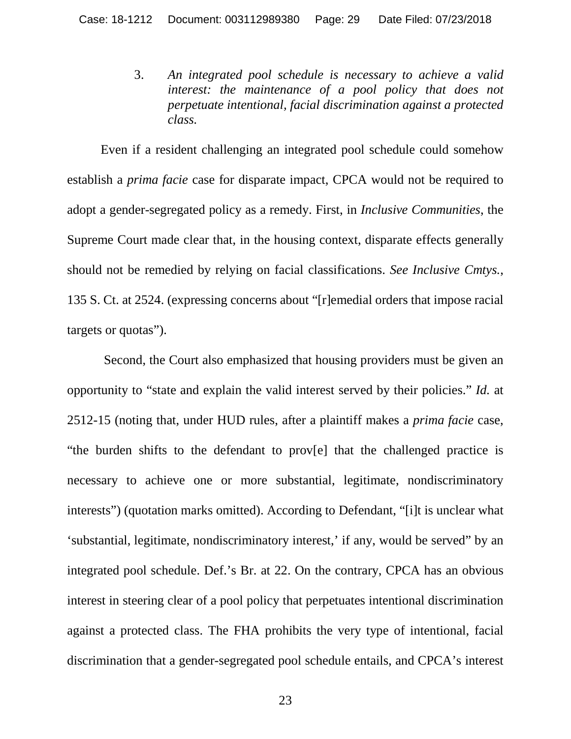<span id="page-28-0"></span>3. *An integrated pool schedule is necessary to achieve a valid interest: the maintenance of a pool policy that does not perpetuate intentional, facial discrimination against a protected class.*

Even if a resident challenging an integrated pool schedule could somehow establish a *prima facie* case for disparate impact, CPCA would not be required to adopt a gender-segregated policy as a remedy. First, in *Inclusive Communities*, the Supreme Court made clear that, in the housing context, disparate effects generally should not be remedied by relying on facial classifications. *See Inclusive Cmtys.*, 135 S. Ct. at 2524. (expressing concerns about "[r]emedial orders that impose racial targets or quotas").

Second, the Court also emphasized that housing providers must be given an opportunity to "state and explain the valid interest served by their policies." *Id.* at 2512-15 (noting that, under HUD rules, after a plaintiff makes a *prima facie* case, "the burden shifts to the defendant to prov[e] that the challenged practice is necessary to achieve one or more substantial, legitimate, nondiscriminatory interests") (quotation marks omitted). According to Defendant, "[i]t is unclear what 'substantial, legitimate, nondiscriminatory interest,' if any, would be served" by an integrated pool schedule. Def.'s Br. at 22. On the contrary, CPCA has an obvious interest in steering clear of a pool policy that perpetuates intentional discrimination against a protected class. The FHA prohibits the very type of intentional, facial discrimination that a gender-segregated pool schedule entails, and CPCA's interest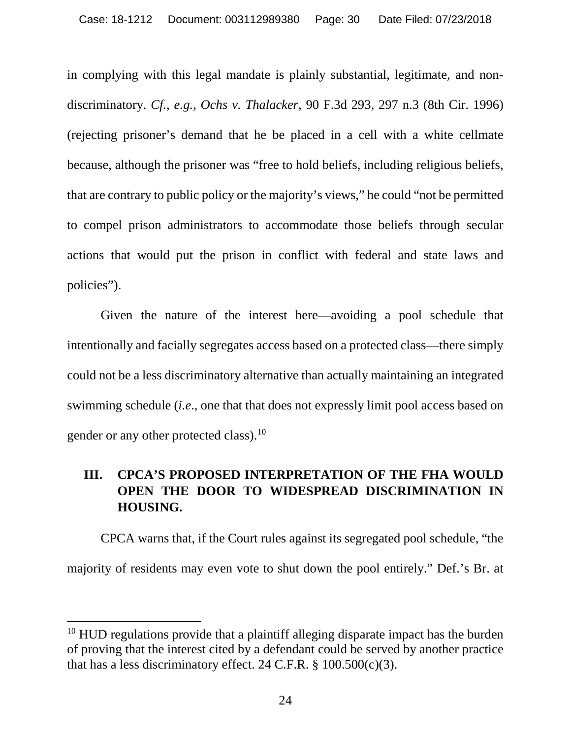in complying with this legal mandate is plainly substantial, legitimate, and nondiscriminatory. *Cf., e.g.*, *Ochs v. Thalacker,* 90 F.3d 293, 297 n.3 (8th Cir. 1996) (rejecting prisoner's demand that he be placed in a cell with a white cellmate because, although the prisoner was "free to hold beliefs, including religious beliefs, that are contrary to public policy or the majority's views," he could "not be permitted to compel prison administrators to accommodate those beliefs through secular actions that would put the prison in conflict with federal and state laws and policies").

Given the nature of the interest here—avoiding a pool schedule that intentionally and facially segregates access based on a protected class—there simply could not be a less discriminatory alternative than actually maintaining an integrated swimming schedule (*i.e*., one that that does not expressly limit pool access based on gender or any other protected class).<sup>[10](#page-29-1)</sup>

## <span id="page-29-0"></span>**III. CPCA'S PROPOSED INTERPRETATION OF THE FHA WOULD OPEN THE DOOR TO WIDESPREAD DISCRIMINATION IN HOUSING.**

CPCA warns that, if the Court rules against its segregated pool schedule, "the majority of residents may even vote to shut down the pool entirely." Def.'s Br. at

<span id="page-29-1"></span><sup>&</sup>lt;sup>10</sup> HUD regulations provide that a plaintiff alleging disparate impact has the burden of proving that the interest cited by a defendant could be served by another practice that has a less discriminatory effect. 24 C.F.R.  $\S$  100.500(c)(3).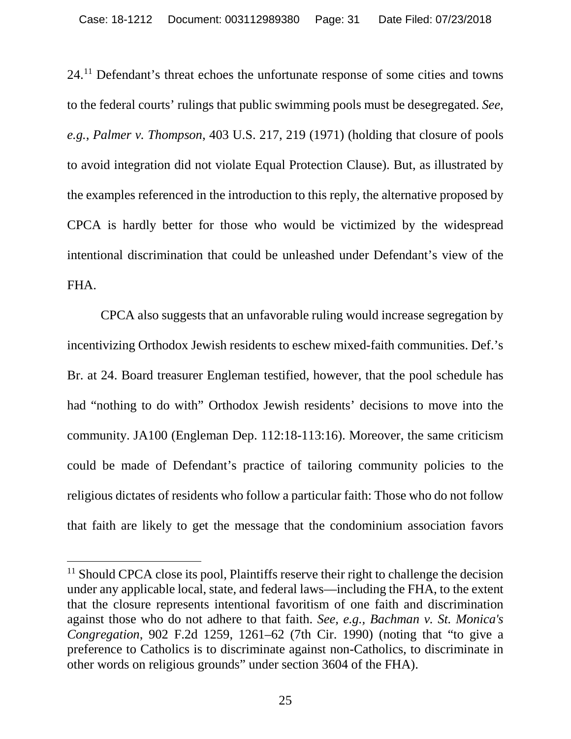24.[11](#page-30-0) Defendant's threat echoes the unfortunate response of some cities and towns to the federal courts' rulings that public swimming pools must be desegregated. *See, e.g.*, *Palmer v. Thompson*, 403 U.S. 217, 219 (1971) (holding that closure of pools to avoid integration did not violate Equal Protection Clause). But, as illustrated by the examples referenced in the introduction to this reply, the alternative proposed by CPCA is hardly better for those who would be victimized by the widespread intentional discrimination that could be unleashed under Defendant's view of the FHA.

CPCA also suggests that an unfavorable ruling would increase segregation by incentivizing Orthodox Jewish residents to eschew mixed-faith communities. Def.'s Br. at 24. Board treasurer Engleman testified, however, that the pool schedule has had "nothing to do with" Orthodox Jewish residents' decisions to move into the community. JA100 (Engleman Dep. 112:18-113:16). Moreover, the same criticism could be made of Defendant's practice of tailoring community policies to the religious dictates of residents who follow a particular faith: Those who do not follow that faith are likely to get the message that the condominium association favors

<span id="page-30-0"></span><sup>&</sup>lt;sup>11</sup> Should CPCA close its pool, Plaintiffs reserve their right to challenge the decision under any applicable local, state, and federal laws—including the FHA, to the extent that the closure represents intentional favoritism of one faith and discrimination against those who do not adhere to that faith. *See, e.g., Bachman v. St. Monica's Congregation*, 902 F.2d 1259, 1261–62 (7th Cir. 1990) (noting that "to give a preference to Catholics is to discriminate against non-Catholics, to discriminate in other words on religious grounds" under section 3604 of the FHA).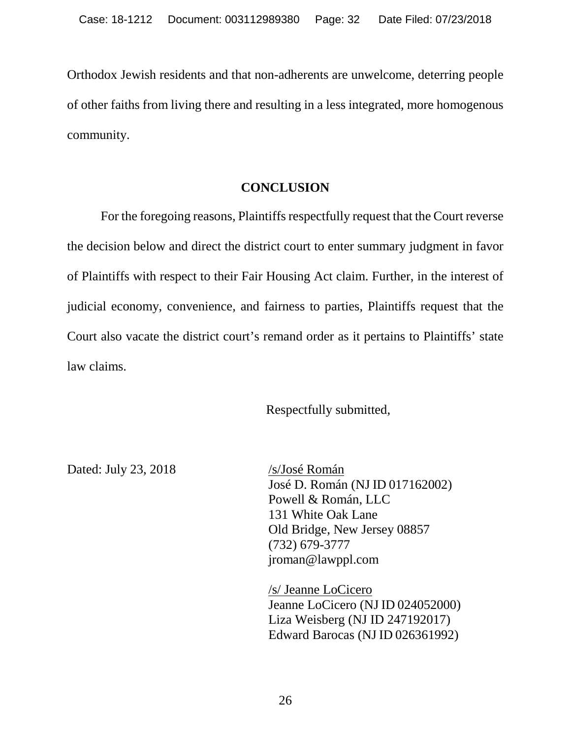Orthodox Jewish residents and that non-adherents are unwelcome, deterring people of other faiths from living there and resulting in a less integrated, more homogenous community.

#### **CONCLUSION**

<span id="page-31-0"></span>For the foregoing reasons, Plaintiffs respectfully request that the Court reverse the decision below and direct the district court to enter summary judgment in favor of Plaintiffs with respect to their Fair Housing Act claim. Further, in the interest of judicial economy, convenience, and fairness to parties, Plaintiffs request that the Court also vacate the district court's remand order as it pertains to Plaintiffs' state law claims.

Respectfully submitted,

Dated: July 23, 2018 /s/José Román

José D. Román (NJ ID 017162002) Powell & Román, LLC 131 White Oak Lane Old Bridge, New Jersey 08857 (732) 679-3777 jroman@lawppl.com

/s/ Jeanne LoCicero Jeanne LoCicero (NJID 024052000) Liza Weisberg (NJ ID 247192017) Edward Barocas (NJID 026361992)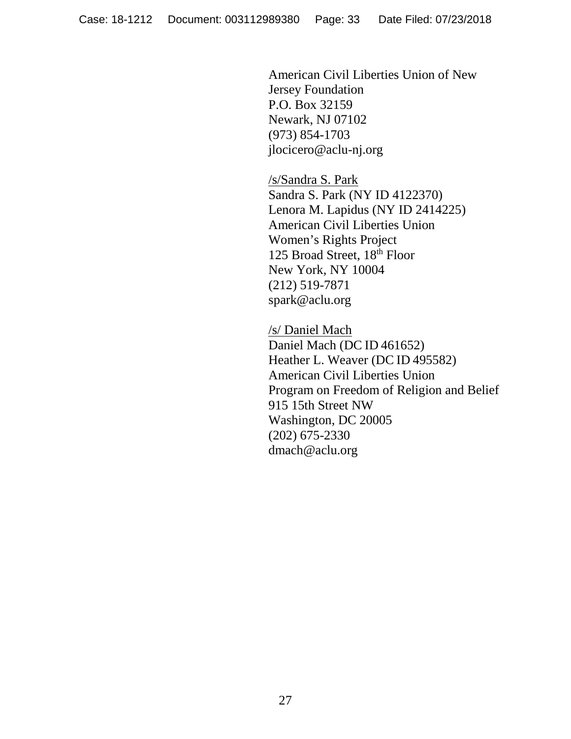American Civil Liberties Union of New Jersey Foundation P.O. Box 32159 Newark, NJ 07102 (973) 854-1703 jlocicero@aclu-nj.org

/s/Sandra S. Park Sandra S. Park (NY ID 4122370) Lenora M. Lapidus (NY ID 2414225) American Civil Liberties Union Women's Rights Project 125 Broad Street, 18th Floor New York, NY 10004 (212) 519-7871 spark@aclu.org

/s/ Daniel Mach Daniel Mach (DC ID 461652) Heather L. Weaver (DC ID 495582) American Civil Liberties Union Program on Freedom of Religion and Belief 915 15th Street NW dmach@aclu.org Washington, DC 20005 (202) 675-2330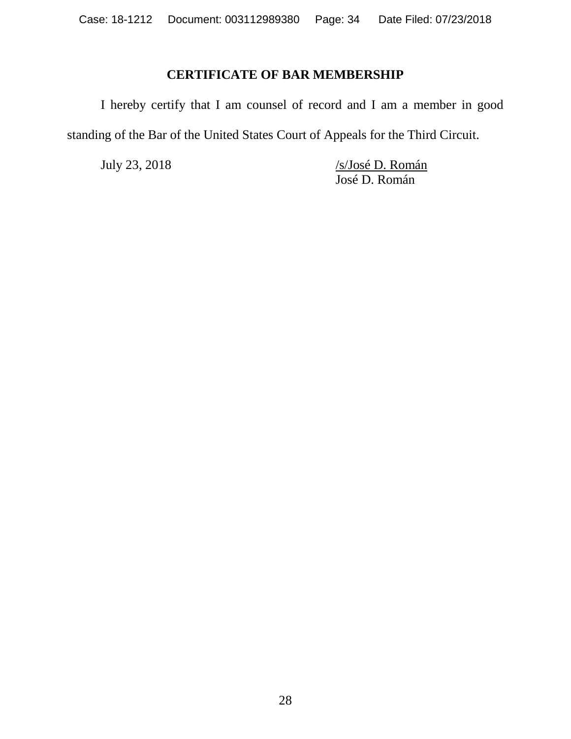### **CERTIFICATE OF BAR MEMBERSHIP**

<span id="page-33-0"></span>I hereby certify that I am counsel of record and I am a member in good standing of the Bar of the United States Court of Appeals for the Third Circuit.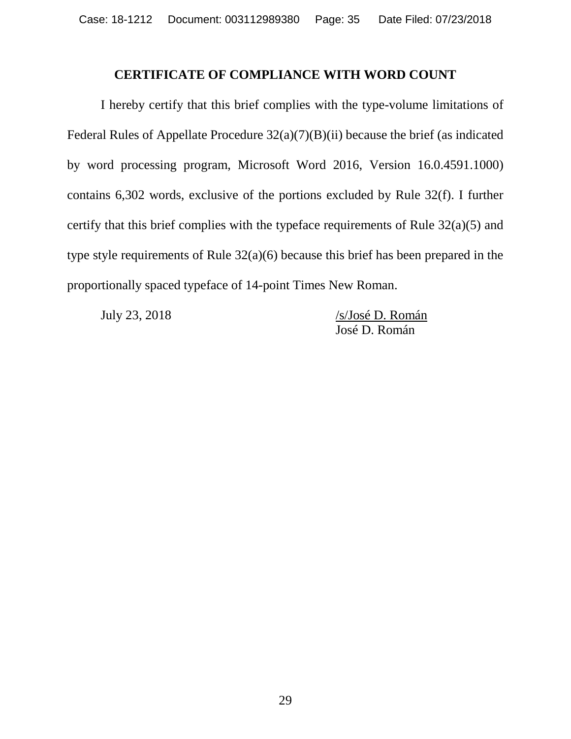#### **CERTIFICATE OF COMPLIANCE WITH WORD COUNT**

<span id="page-34-0"></span>I hereby certify that this brief complies with the type-volume limitations of Federal Rules of Appellate Procedure 32(a)(7)(B)(ii) because the brief (as indicated by word processing program, Microsoft Word 2016, Version 16.0.4591.1000) contains 6,302 words, exclusive of the portions excluded by Rule 32(f). I further certify that this brief complies with the typeface requirements of Rule 32(a)(5) and type style requirements of Rule 32(a)(6) because this brief has been prepared in the proportionally spaced typeface of 14-point Times New Roman.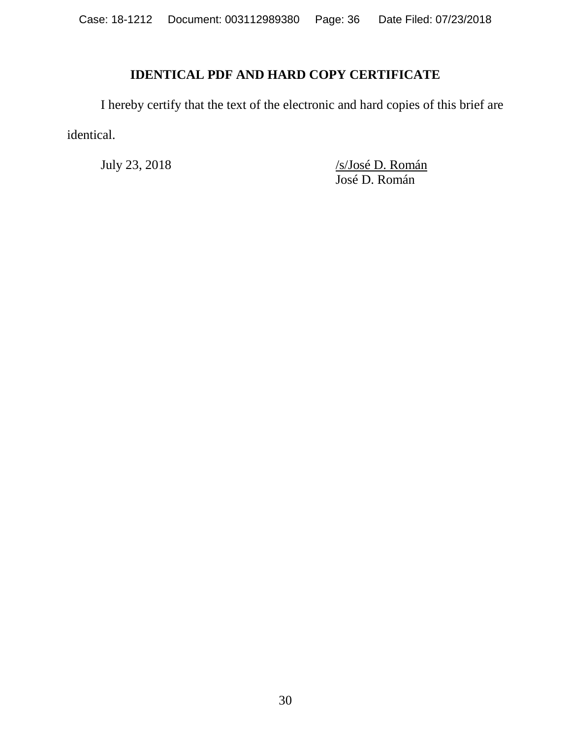# **IDENTICAL PDF AND HARD COPY CERTIFICATE**

<span id="page-35-0"></span>I hereby certify that the text of the electronic and hard copies of this brief are identical.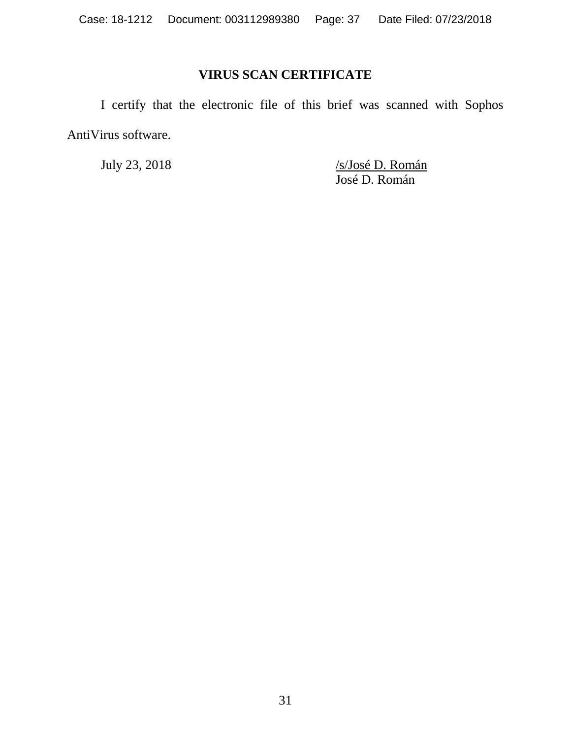# **VIRUS SCAN CERTIFICATE**

<span id="page-36-0"></span>I certify that the electronic file of this brief was scanned with Sophos AntiVirus software.